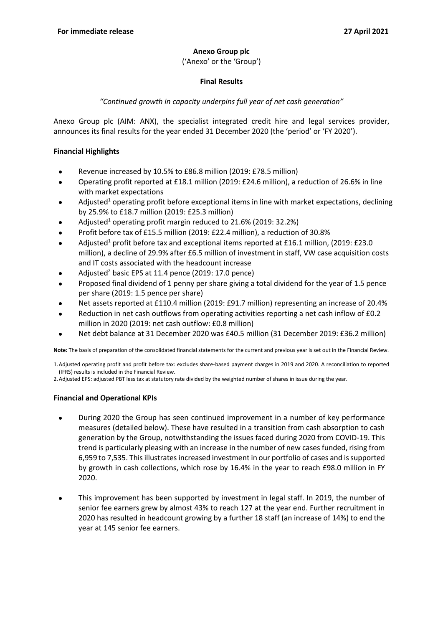#### **Anexo Group plc**

('Anexo' or the 'Group')

### **Final Results**

# *"Continued growth in capacity underpins full year of net cash generation"*

Anexo Group plc (AIM: ANX), the specialist integrated credit hire and legal services provider, announces its final results for the year ended 31 December 2020 (the 'period' or 'FY 2020').

### **Financial Highlights**

- Revenue increased by 10.5% to £86.8 million (2019: £78.5 million)
- Operating profit reported at £18.1 million (2019: £24.6 million), a reduction of 26.6% in line with market expectations
- Adjusted<sup>1</sup> operating profit before exceptional items in line with market expectations, declining by 25.9% to £18.7 million (2019: £25.3 million)
- Adjusted<sup>1</sup> operating profit margin reduced to  $21.6\%$  (2019: 32.2%)
- Profit before tax of £15.5 million (2019: £22.4 million), a reduction of 30.8%
- Adjusted<sup>1</sup> profit before tax and exceptional items reported at £16.1 million, (2019: £23.0 million), a decline of 29.9% after £6.5 million of investment in staff, VW case acquisition costs and IT costs associated with the headcount increase
- Adjusted<sup>2</sup> basic EPS at 11.4 pence (2019: 17.0 pence)
- Proposed final dividend of 1 penny per share giving a total dividend for the year of 1.5 pence per share (2019: 1.5 pence per share)
- Net assets reported at £110.4 million (2019: £91.7 million) representing an increase of 20.4%
- Reduction in net cash outflows from operating activities reporting a net cash inflow of £0.2 million in 2020 (2019: net cash outflow: £0.8 million)
- Net debt balance at 31 December 2020 was £40.5 million (31 December 2019: £36.2 million)

**Note:** The basis of preparation of the consolidated financial statements for the current and previous year is set out in the Financial Review.

1.Adjusted operating profit and profit before tax: excludes share‑based payment charges in 2019 and 2020. A reconciliation to reported (IFRS) results is included in the Financial Review.

2.Adjusted EPS: adjusted PBT less tax at statutory rate divided by the weighted number of shares in issue during the year.

#### **Financial and Operational KPIs**

- During 2020 the Group has seen continued improvement in a number of key performance measures (detailed below). These have resulted in a transition from cash absorption to cash generation by the Group, notwithstanding the issues faced during 2020 from COVID-19. This trend is particularly pleasing with an increase in the number of new cases funded, rising from 6,959 to 7,535. This illustrates increased investment in our portfolio of cases and is supported by growth in cash collections, which rose by 16.4% in the year to reach £98.0 million in FY 2020.
- This improvement has been supported by investment in legal staff. In 2019, the number of senior fee earners grew by almost 43% to reach 127 at the year end. Further recruitment in 2020 has resulted in headcount growing by a further 18 staff (an increase of 14%) to end the year at 145 senior fee earners.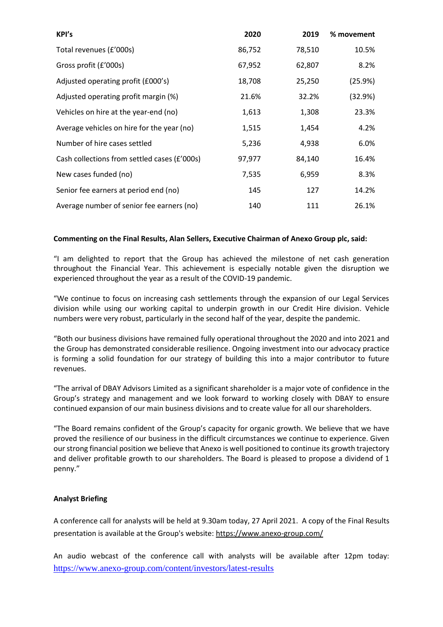| KPI's                                        | 2020   | 2019   | % movement |
|----------------------------------------------|--------|--------|------------|
| Total revenues (£'000s)                      | 86,752 | 78,510 | 10.5%      |
| Gross profit (£'000s)                        | 67,952 | 62,807 | 8.2%       |
| Adjusted operating profit (£000's)           | 18,708 | 25,250 | (25.9%)    |
| Adjusted operating profit margin (%)         | 21.6%  | 32.2%  | (32.9%)    |
| Vehicles on hire at the year-end (no)        | 1,613  | 1,308  | 23.3%      |
| Average vehicles on hire for the year (no)   | 1,515  | 1,454  | 4.2%       |
| Number of hire cases settled                 | 5,236  | 4,938  | 6.0%       |
| Cash collections from settled cases (£'000s) | 97,977 | 84,140 | 16.4%      |
| New cases funded (no)                        | 7,535  | 6,959  | 8.3%       |
| Senior fee earners at period end (no)        | 145    | 127    | 14.2%      |
| Average number of senior fee earners (no)    | 140    | 111    | 26.1%      |

#### **Commenting on the Final Results, Alan Sellers, Executive Chairman of Anexo Group plc, said:**

"I am delighted to report that the Group has achieved the milestone of net cash generation throughout the Financial Year. This achievement is especially notable given the disruption we experienced throughout the year as a result of the COVID-19 pandemic.

"We continue to focus on increasing cash settlements through the expansion of our Legal Services division while using our working capital to underpin growth in our Credit Hire division. Vehicle numbers were very robust, particularly in the second half of the year, despite the pandemic.

"Both our business divisions have remained fully operational throughout the 2020 and into 2021 and the Group has demonstrated considerable resilience. Ongoing investment into our advocacy practice is forming a solid foundation for our strategy of building this into a major contributor to future revenues.

"The arrival of DBAY Advisors Limited as a significant shareholder is a major vote of confidence in the Group's strategy and management and we look forward to working closely with DBAY to ensure continued expansion of our main business divisions and to create value for all our shareholders.

"The Board remains confident of the Group's capacity for organic growth. We believe that we have proved the resilience of our business in the difficult circumstances we continue to experience. Given our strong financial position we believe that Anexo is well positioned to continue its growth trajectory and deliver profitable growth to our shareholders. The Board is pleased to propose a dividend of 1 penny."

#### **Analyst Briefing**

A conference call for analysts will be held at 9.30am today, 27 April 2021. A copy of the Final Results presentation is available at the Group's website: <https://www.anexo-group.com/>

An audio webcast of the conference call with analysts will be available after 12pm today: <https://www.anexo-group.com/content/investors/latest-results>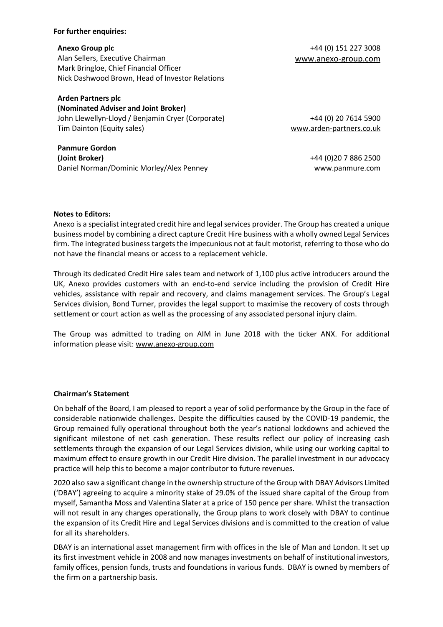#### **For further enquiries:**

Alan Sellers, Executive Chairman [www.anexo-group.com](http://www.anexo-group.com/) Mark Bringloe, Chief Financial Officer Nick Dashwood Brown, Head of Investor Relations

#### **Arden Partners plc**

**(Nominated Adviser and Joint Broker)** John Llewellyn-Lloyd / Benjamin Cryer (Corporate) Tim Dainton (Equity sales)

**Panmure Gordon (Joint Broker)** Daniel Norman/Dominic Morley/Alex Penney

**Anexo Group plc**  $+44$  (0) 151 227 3008

+44 (0) 20 7614 5900 [www.arden-partners.co.uk](http://www.arden-partners.co.uk/)

> +44 (0)20 7 886 2500 www.panmure.com

#### **Notes to Editors:**

Anexo is a specialist integrated credit hire and legal services provider. The Group has created a unique business model by combining a direct capture Credit Hire business with a wholly owned Legal Services firm. The integrated business targets the impecunious not at fault motorist, referring to those who do not have the financial means or access to a replacement vehicle.

Through its dedicated Credit Hire sales team and network of 1,100 plus active introducers around the UK, Anexo provides customers with an end-to-end service including the provision of Credit Hire vehicles, assistance with repair and recovery, and claims management services. The Group's Legal Services division, Bond Turner, provides the legal support to maximise the recovery of costs through settlement or court action as well as the processing of any associated personal injury claim.

The Group was admitted to trading on AIM in June 2018 with the ticker ANX. For additional information please visit: [www.anexo-group.com](http://www.anexo-group.com/)

#### **Chairman's Statement**

On behalf of the Board, I am pleased to report a year of solid performance by the Group in the face of considerable nationwide challenges. Despite the difficulties caused by the COVID-19 pandemic, the Group remained fully operational throughout both the year's national lockdowns and achieved the significant milestone of net cash generation. These results reflect our policy of increasing cash settlements through the expansion of our Legal Services division, while using our working capital to maximum effect to ensure growth in our Credit Hire division. The parallel investment in our advocacy practice will help this to become a major contributor to future revenues.

2020 also saw a significant change in the ownership structure of the Group with DBAY Advisors Limited ('DBAY') agreeing to acquire a minority stake of 29.0% of the issued share capital of the Group from myself, Samantha Moss and Valentina Slater at a price of 150 pence per share. Whilst the transaction will not result in any changes operationally, the Group plans to work closely with DBAY to continue the expansion of its Credit Hire and Legal Services divisions and is committed to the creation of value for all its shareholders.

DBAY is an international asset management firm with offices in the Isle of Man and London. It set up its first investment vehicle in 2008 and now manages investments on behalf of institutional investors, family offices, pension funds, trusts and foundations in various funds. DBAY is owned by members of the firm on a partnership basis.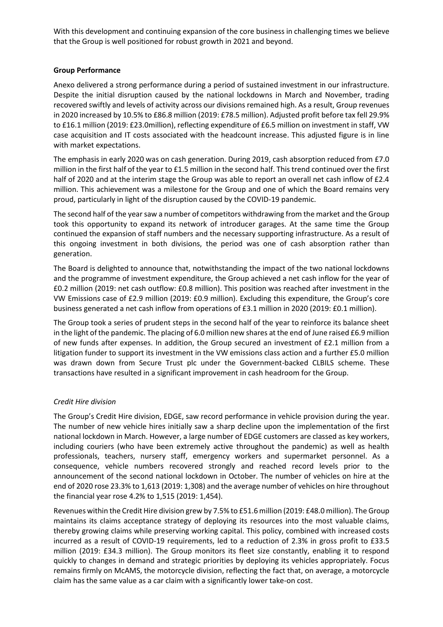With this development and continuing expansion of the core business in challenging times we believe that the Group is well positioned for robust growth in 2021 and beyond.

### **Group Performance**

Anexo delivered a strong performance during a period of sustained investment in our infrastructure. Despite the initial disruption caused by the national lockdowns in March and November, trading recovered swiftly and levels of activity across our divisions remained high. As a result, Group revenues in 2020 increased by 10.5% to £86.8 million (2019: £78.5 million). Adjusted profit before tax fell 29.9% to £16.1 million (2019: £23.0million), reflecting expenditure of £6.5 million on investment in staff, VW case acquisition and IT costs associated with the headcount increase. This adjusted figure is in line with market expectations.

The emphasis in early 2020 was on cash generation. During 2019, cash absorption reduced from £7.0 million in the first half of the year to £1.5 million in the second half. This trend continued over the first half of 2020 and at the interim stage the Group was able to report an overall net cash inflow of £2.4 million. This achievement was a milestone for the Group and one of which the Board remains very proud, particularly in light of the disruption caused by the COVID-19 pandemic.

The second half of the year saw a number of competitors withdrawing from the market and the Group took this opportunity to expand its network of introducer garages. At the same time the Group continued the expansion of staff numbers and the necessary supporting infrastructure. As a result of this ongoing investment in both divisions, the period was one of cash absorption rather than generation.

The Board is delighted to announce that, notwithstanding the impact of the two national lockdowns and the programme of investment expenditure, the Group achieved a net cash inflow for the year of £0.2 million (2019: net cash outflow: £0.8 million). This position was reached after investment in the VW Emissions case of £2.9 million (2019: £0.9 million). Excluding this expenditure, the Group's core business generated a net cash inflow from operations of £3.1 million in 2020 (2019: £0.1 million).

The Group took a series of prudent steps in the second half of the year to reinforce its balance sheet in the light of the pandemic. The placing of 6.0 million new shares at the end of June raised £6.9 million of new funds after expenses. In addition, the Group secured an investment of £2.1 million from a litigation funder to support its investment in the VW emissions class action and a further £5.0 million was drawn down from Secure Trust plc under the Government-backed CLBILS scheme. These transactions have resulted in a significant improvement in cash headroom for the Group.

# *Credit Hire division*

The Group's Credit Hire division, EDGE, saw record performance in vehicle provision during the year. The number of new vehicle hires initially saw a sharp decline upon the implementation of the first national lockdown in March. However, a large number of EDGE customers are classed as key workers, including couriers (who have been extremely active throughout the pandemic) as well as health professionals, teachers, nursery staff, emergency workers and supermarket personnel. As a consequence, vehicle numbers recovered strongly and reached record levels prior to the announcement of the second national lockdown in October. The number of vehicles on hire at the end of 2020 rose 23.3% to 1,613 (2019: 1,308) and the average number of vehicles on hire throughout the financial year rose 4.2% to 1,515 (2019: 1,454).

Revenues within the Credit Hire division grew by 7.5% to £51.6 million (2019: £48.0 million). The Group maintains its claims acceptance strategy of deploying its resources into the most valuable claims, thereby growing claims while preserving working capital. This policy, combined with increased costs incurred as a result of COVID-19 requirements, led to a reduction of 2.3% in gross profit to £33.5 million (2019: £34.3 million). The Group monitors its fleet size constantly, enabling it to respond quickly to changes in demand and strategic priorities by deploying its vehicles appropriately. Focus remains firmly on McAMS, the motorcycle division, reflecting the fact that, on average, a motorcycle claim has the same value as a car claim with a significantly lower take-on cost.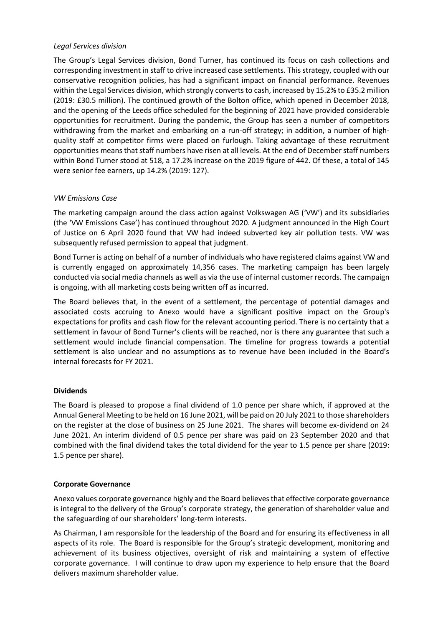### *Legal Services division*

The Group's Legal Services division, Bond Turner, has continued its focus on cash collections and corresponding investment in staff to drive increased case settlements. This strategy, coupled with our conservative recognition policies, has had a significant impact on financial performance. Revenues within the Legal Services division, which strongly converts to cash, increased by 15.2% to £35.2 million (2019: £30.5 million). The continued growth of the Bolton office, which opened in December 2018, and the opening of the Leeds office scheduled for the beginning of 2021 have provided considerable opportunities for recruitment. During the pandemic, the Group has seen a number of competitors withdrawing from the market and embarking on a run-off strategy; in addition, a number of highquality staff at competitor firms were placed on furlough. Taking advantage of these recruitment opportunities means that staff numbers have risen at all levels. At the end of December staff numbers within Bond Turner stood at 518, a 17.2% increase on the 2019 figure of 442. Of these, a total of 145 were senior fee earners, up 14.2% (2019: 127).

# *VW Emissions Case*

The marketing campaign around the class action against Volkswagen AG ('VW') and its subsidiaries (the 'VW Emissions Case') has continued throughout 2020. A judgment announced in the High Court of Justice on 6 April 2020 found that VW had indeed subverted key air pollution tests. VW was subsequently refused permission to appeal that judgment.

Bond Turner is acting on behalf of a number of individuals who have registered claims against VW and is currently engaged on approximately 14,356 cases. The marketing campaign has been largely conducted via social media channels as well as via the use of internal customer records. The campaign is ongoing, with all marketing costs being written off as incurred.

The Board believes that, in the event of a settlement, the percentage of potential damages and associated costs accruing to Anexo would have a significant positive impact on the Group's expectations for profits and cash flow for the relevant accounting period. There is no certainty that a settlement in favour of Bond Turner's clients will be reached, nor is there any guarantee that such a settlement would include financial compensation. The timeline for progress towards a potential settlement is also unclear and no assumptions as to revenue have been included in the Board's internal forecasts for FY 2021.

#### **Dividends**

The Board is pleased to propose a final dividend of 1.0 pence per share which, if approved at the Annual General Meeting to be held on 16 June 2021, will be paid on 20 July 2021 to those shareholders on the register at the close of business on 25 June 2021. The shares will become ex-dividend on 24 June 2021. An interim dividend of 0.5 pence per share was paid on 23 September 2020 and that combined with the final dividend takes the total dividend for the year to 1.5 pence per share (2019: 1.5 pence per share).

#### **Corporate Governance**

Anexo values corporate governance highly and the Board believes that effective corporate governance is integral to the delivery of the Group's corporate strategy, the generation of shareholder value and the safeguarding of our shareholders' long-term interests.

As Chairman, I am responsible for the leadership of the Board and for ensuring its effectiveness in all aspects of its role. The Board is responsible for the Group's strategic development, monitoring and achievement of its business objectives, oversight of risk and maintaining a system of effective corporate governance. I will continue to draw upon my experience to help ensure that the Board delivers maximum shareholder value.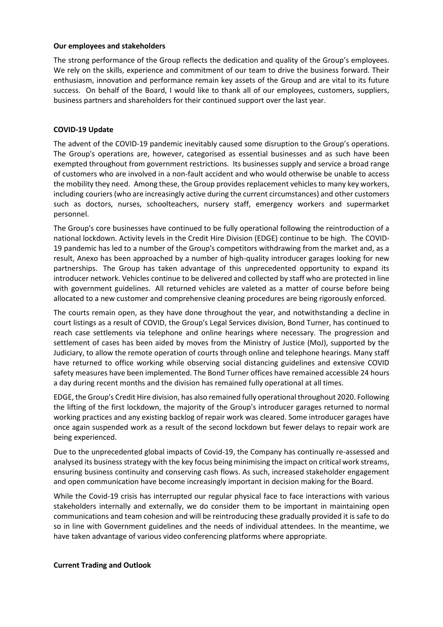#### **Our employees and stakeholders**

The strong performance of the Group reflects the dedication and quality of the Group's employees. We rely on the skills, experience and commitment of our team to drive the business forward. Their enthusiasm, innovation and performance remain key assets of the Group and are vital to its future success. On behalf of the Board, I would like to thank all of our employees, customers, suppliers, business partners and shareholders for their continued support over the last year.

#### **COVID-19 Update**

The advent of the COVID-19 pandemic inevitably caused some disruption to the Group's operations. The Group's operations are, however, categorised as essential businesses and as such have been exempted throughout from government restrictions. Its businesses supply and service a broad range of customers who are involved in a non-fault accident and who would otherwise be unable to access the mobility they need. Among these, the Group provides replacement vehicles to many key workers, including couriers (who are increasingly active during the current circumstances) and other customers such as doctors, nurses, schoolteachers, nursery staff, emergency workers and supermarket personnel.

The Group's core businesses have continued to be fully operational following the reintroduction of a national lockdown. Activity levels in the Credit Hire Division (EDGE) continue to be high. The COVID-19 pandemic has led to a number of the Group's competitors withdrawing from the market and, as a result, Anexo has been approached by a number of high-quality introducer garages looking for new partnerships. The Group has taken advantage of this unprecedented opportunity to expand its introducer network. Vehicles continue to be delivered and collected by staff who are protected in line with government guidelines. All returned vehicles are valeted as a matter of course before being allocated to a new customer and comprehensive cleaning procedures are being rigorously enforced.

The courts remain open, as they have done throughout the year, and notwithstanding a decline in court listings as a result of COVID, the Group's Legal Services division, Bond Turner, has continued to reach case settlements via telephone and online hearings where necessary. The progression and settlement of cases has been aided by moves from the Ministry of Justice (MoJ), supported by the Judiciary, to allow the remote operation of courts through online and telephone hearings. Many staff have returned to office working while observing social distancing guidelines and extensive COVID safety measures have been implemented. The Bond Turner offices have remained accessible 24 hours a day during recent months and the division has remained fully operational at all times.

EDGE, the Group's Credit Hire division, has also remained fully operational throughout 2020. Following the lifting of the first lockdown, the majority of the Group's introducer garages returned to normal working practices and any existing backlog of repair work was cleared. Some introducer garages have once again suspended work as a result of the second lockdown but fewer delays to repair work are being experienced.

Due to the unprecedented global impacts of Covid-19, the Company has continually re-assessed and analysed its business strategy with the key focus being minimising the impact on critical work streams, ensuring business continuity and conserving cash flows. As such, increased stakeholder engagement and open communication have become increasingly important in decision making for the Board.

While the Covid-19 crisis has interrupted our regular physical face to face interactions with various stakeholders internally and externally, we do consider them to be important in maintaining open communications and team cohesion and will be reintroducing these gradually provided it is safe to do so in line with Government guidelines and the needs of individual attendees. In the meantime, we have taken advantage of various video conferencing platforms where appropriate.

#### **Current Trading and Outlook**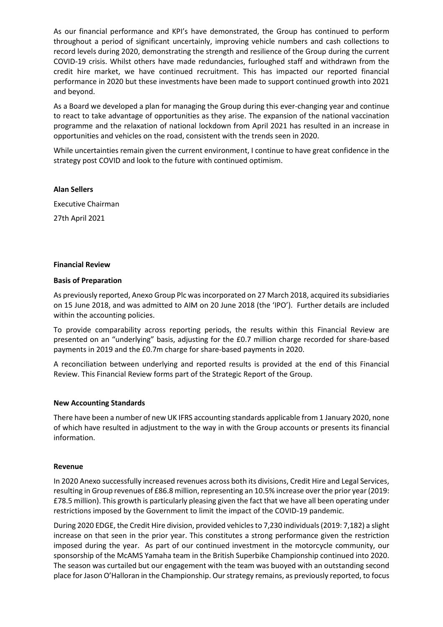As our financial performance and KPI's have demonstrated, the Group has continued to perform throughout a period of significant uncertainly, improving vehicle numbers and cash collections to record levels during 2020, demonstrating the strength and resilience of the Group during the current COVID-19 crisis. Whilst others have made redundancies, furloughed staff and withdrawn from the credit hire market, we have continued recruitment. This has impacted our reported financial performance in 2020 but these investments have been made to support continued growth into 2021 and beyond.

As a Board we developed a plan for managing the Group during this ever-changing year and continue to react to take advantage of opportunities as they arise. The expansion of the national vaccination programme and the relaxation of national lockdown from April 2021 has resulted in an increase in opportunities and vehicles on the road, consistent with the trends seen in 2020.

While uncertainties remain given the current environment, I continue to have great confidence in the strategy post COVID and look to the future with continued optimism.

#### **Alan Sellers**

Executive Chairman 27th April 2021

#### **Financial Review**

#### **Basis of Preparation**

As previously reported, Anexo Group Plc was incorporated on 27 March 2018, acquired its subsidiaries on 15 June 2018, and was admitted to AIM on 20 June 2018 (the 'IPO'). Further details are included within the accounting policies.

To provide comparability across reporting periods, the results within this Financial Review are presented on an "underlying" basis, adjusting for the £0.7 million charge recorded for share-based payments in 2019 and the £0.7m charge for share-based payments in 2020.

A reconciliation between underlying and reported results is provided at the end of this Financial Review. This Financial Review forms part of the Strategic Report of the Group.

#### **New Accounting Standards**

There have been a number of new UK IFRS accounting standards applicable from 1 January 2020, none of which have resulted in adjustment to the way in with the Group accounts or presents its financial information.

#### **Revenue**

In 2020 Anexo successfully increased revenues across both its divisions, Credit Hire and Legal Services, resulting in Group revenues of £86.8 million, representing an 10.5% increase over the prior year (2019: £78.5 million). This growth is particularly pleasing given the fact that we have all been operating under restrictions imposed by the Government to limit the impact of the COVID-19 pandemic.

During 2020 EDGE, the Credit Hire division, provided vehicles to 7,230 individuals (2019: 7,182) a slight increase on that seen in the prior year. This constitutes a strong performance given the restriction imposed during the year. As part of our continued investment in the motorcycle community, our sponsorship of the McAMS Yamaha team in the British Superbike Championship continued into 2020. The season was curtailed but our engagement with the team was buoyed with an outstanding second place for Jason O'Halloran in the Championship. Our strategy remains, as previously reported, to focus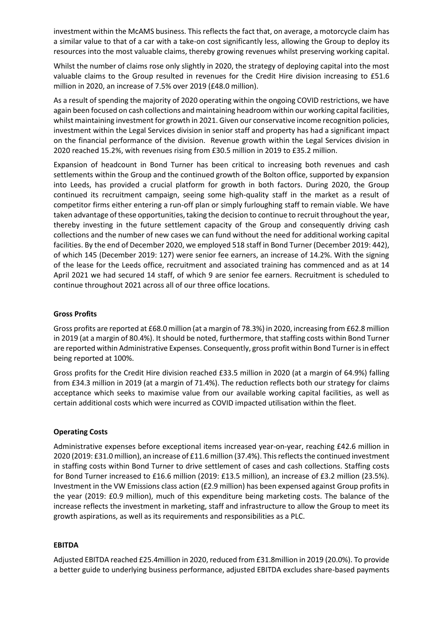investment within the McAMS business. This reflects the fact that, on average, a motorcycle claim has a similar value to that of a car with a take-on cost significantly less, allowing the Group to deploy its resources into the most valuable claims, thereby growing revenues whilst preserving working capital.

Whilst the number of claims rose only slightly in 2020, the strategy of deploying capital into the most valuable claims to the Group resulted in revenues for the Credit Hire division increasing to £51.6 million in 2020, an increase of 7.5% over 2019 (£48.0 million).

As a result of spending the majority of 2020 operating within the ongoing COVID restrictions, we have again been focused on cash collections and maintaining headroom within our working capital facilities, whilst maintaining investment for growth in 2021. Given our conservative income recognition policies, investment within the Legal Services division in senior staff and property has had a significant impact on the financial performance of the division. Revenue growth within the Legal Services division in 2020 reached 15.2%, with revenues rising from £30.5 million in 2019 to £35.2 million.

Expansion of headcount in Bond Turner has been critical to increasing both revenues and cash settlements within the Group and the continued growth of the Bolton office, supported by expansion into Leeds, has provided a crucial platform for growth in both factors. During 2020, the Group continued its recruitment campaign, seeing some high-quality staff in the market as a result of competitor firms either entering a run-off plan or simply furloughing staff to remain viable. We have taken advantage of these opportunities, taking the decision to continue to recruit throughout the year, thereby investing in the future settlement capacity of the Group and consequently driving cash collections and the number of new cases we can fund without the need for additional working capital facilities. By the end of December 2020, we employed 518 staff in Bond Turner (December 2019: 442), of which 145 (December 2019: 127) were senior fee earners, an increase of 14.2%. With the signing of the lease for the Leeds office, recruitment and associated training has commenced and as at 14 April 2021 we had secured 14 staff, of which 9 are senior fee earners. Recruitment is scheduled to continue throughout 2021 across all of our three office locations.

### **Gross Profits**

Gross profits are reported at £68.0 million (at a margin of 78.3%) in 2020, increasing from £62.8 million in 2019 (at a margin of 80.4%). It should be noted, furthermore, that staffing costs within Bond Turner are reported within Administrative Expenses. Consequently, gross profit within Bond Turner is in effect being reported at 100%.

Gross profits for the Credit Hire division reached £33.5 million in 2020 (at a margin of 64.9%) falling from £34.3 million in 2019 (at a margin of 71.4%). The reduction reflects both our strategy for claims acceptance which seeks to maximise value from our available working capital facilities, as well as certain additional costs which were incurred as COVID impacted utilisation within the fleet.

#### **Operating Costs**

Administrative expenses before exceptional items increased year-on-year, reaching £42.6 million in 2020 (2019: £31.0 million), an increase of £11.6 million (37.4%). This reflects the continued investment in staffing costs within Bond Turner to drive settlement of cases and cash collections. Staffing costs for Bond Turner increased to £16.6 million (2019: £13.5 million), an increase of £3.2 million (23.5%). Investment in the VW Emissions class action (£2.9 million) has been expensed against Group profits in the year (2019: £0.9 million), much of this expenditure being marketing costs. The balance of the increase reflects the investment in marketing, staff and infrastructure to allow the Group to meet its growth aspirations, as well as its requirements and responsibilities as a PLC.

#### **EBITDA**

Adjusted EBITDA reached £25.4million in 2020, reduced from £31.8million in 2019 (20.0%). To provide a better guide to underlying business performance, adjusted EBITDA excludes share-based payments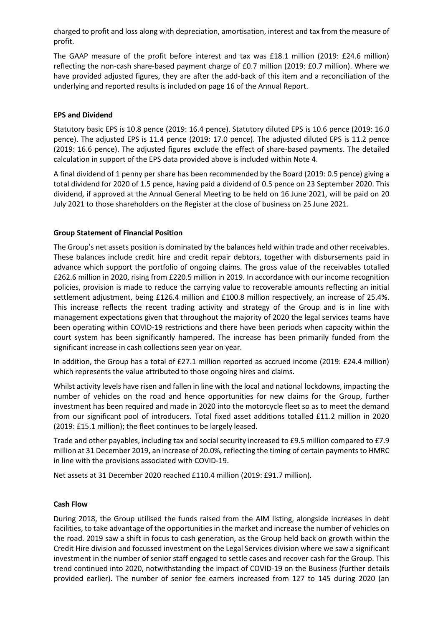charged to profit and loss along with depreciation, amortisation, interest and tax from the measure of profit.

The GAAP measure of the profit before interest and tax was £18.1 million (2019: £24.6 million) reflecting the non-cash share-based payment charge of £0.7 million (2019: £0.7 million). Where we have provided adjusted figures, they are after the add-back of this item and a reconciliation of the underlying and reported results is included on page 16 of the Annual Report.

### **EPS and Dividend**

Statutory basic EPS is 10.8 pence (2019: 16.4 pence). Statutory diluted EPS is 10.6 pence (2019: 16.0 pence). The adjusted EPS is 11.4 pence (2019: 17.0 pence). The adjusted diluted EPS is 11.2 pence (2019: 16.6 pence). The adjusted figures exclude the effect of share-based payments. The detailed calculation in support of the EPS data provided above is included within Note 4.

A final dividend of 1 penny per share has been recommended by the Board (2019: 0.5 pence) giving a total dividend for 2020 of 1.5 pence, having paid a dividend of 0.5 pence on 23 September 2020. This dividend, if approved at the Annual General Meeting to be held on 16 June 2021, will be paid on 20 July 2021 to those shareholders on the Register at the close of business on 25 June 2021.

# **Group Statement of Financial Position**

The Group's net assets position is dominated by the balances held within trade and other receivables. These balances include credit hire and credit repair debtors, together with disbursements paid in advance which support the portfolio of ongoing claims. The gross value of the receivables totalled £262.6 million in 2020, rising from £220.5 million in 2019. In accordance with our income recognition policies, provision is made to reduce the carrying value to recoverable amounts reflecting an initial settlement adjustment, being £126.4 million and £100.8 million respectively, an increase of 25.4%. This increase reflects the recent trading activity and strategy of the Group and is in line with management expectations given that throughout the majority of 2020 the legal services teams have been operating within COVID-19 restrictions and there have been periods when capacity within the court system has been significantly hampered. The increase has been primarily funded from the significant increase in cash collections seen year on year.

In addition, the Group has a total of £27.1 million reported as accrued income (2019: £24.4 million) which represents the value attributed to those ongoing hires and claims.

Whilst activity levels have risen and fallen in line with the local and national lockdowns, impacting the number of vehicles on the road and hence opportunities for new claims for the Group, further investment has been required and made in 2020 into the motorcycle fleet so as to meet the demand from our significant pool of introducers. Total fixed asset additions totalled £11.2 million in 2020 (2019: £15.1 million); the fleet continues to be largely leased.

Trade and other payables, including tax and social security increased to £9.5 million compared to £7.9 million at 31 December 2019, an increase of 20.0%, reflecting the timing of certain payments to HMRC in line with the provisions associated with COVID-19.

Net assets at 31 December 2020 reached £110.4 million (2019: £91.7 million).

#### **Cash Flow**

During 2018, the Group utilised the funds raised from the AIM listing, alongside increases in debt facilities, to take advantage of the opportunities in the market and increase the number of vehicles on the road. 2019 saw a shift in focus to cash generation, as the Group held back on growth within the Credit Hire division and focussed investment on the Legal Services division where we saw a significant investment in the number of senior staff engaged to settle cases and recover cash for the Group. This trend continued into 2020, notwithstanding the impact of COVID-19 on the Business (further details provided earlier). The number of senior fee earners increased from 127 to 145 during 2020 (an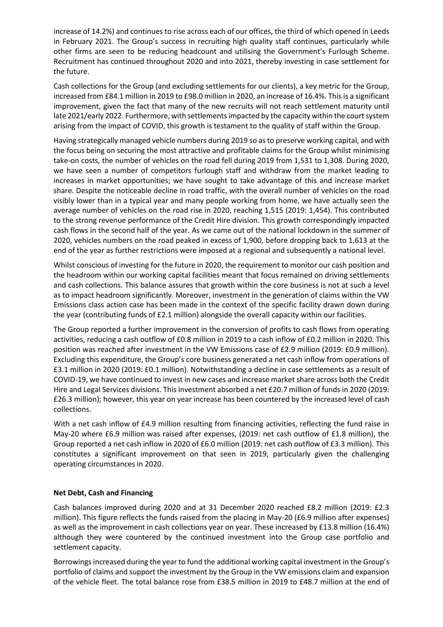increase of 14.2%) and continues to rise across each of our offices, the third of which opened in Leeds in February 2021. The Group's success in recruiting high quality staff continues, particularly while other firms are seen to be reducing headcount and utilising the Government's Furlough Scheme. Recruitment has continued throughout 2020 and into 2021, thereby investing in case settlement for the future.

Cash collections for the Group (and excluding settlements for our clients), a key metric for the Group, increased from £84.1 million in 2019 to £98.0 million in 2020, an increase of 16.4%. This is a significant improvement, given the fact that many of the new recruits will not reach settlement maturity until late 2021/early 2022. Furthermore, with settlements impacted by the capacity within the court system arising from the impact of COVID, this growth is testament to the quality of staff within the Group.

Having strategically managed vehicle numbers during 2019 so as to preserve working capital, and with the focus being on securing the most attractive and profitable claims for the Group whilst minimising take-on costs, the number of vehicles on the road fell during 2019 from 1,531 to 1,308. During 2020, we have seen a number of competitors furlough staff and withdraw from the market leading to increases in market opportunities; we have sought to take advantage of this and increase market share. Despite the noticeable decline in road traffic, with the overall number of vehicles on the road visibly lower than in a typical year and many people working from home, we have actually seen the average number of vehicles on the road rise in 2020, reaching 1,515 (2019: 1,454). This contributed to the strong revenue performance of the Credit Hire division. This growth correspondingly impacted cash flows in the second half of the year. As we came out of the national lockdown in the summer of 2020, vehicles numbers on the road peaked in excess of 1,900, before dropping back to 1,613 at the end of the year as further restrictions were imposed at a regional and subsequently a national level.

Whilst conscious of investing for the future in 2020, the requirement to monitor our cash position and the headroom within our working capital facilities meant that focus remained on driving settlements and cash collections. This balance assures that growth within the core business is not at such a level as to impact headroom significantly. Moreover, investment in the generation of claims within the VW Emissions class action case has been made in the context of the specific facility drawn down during the year (contributing funds of £2.1 million) alongside the overall capacity within our facilities.

The Group reported a further improvement in the conversion of profits to cash flows from operating activities, reducing a cash outflow of £0.8 million in 2019 to a cash inflow of £0.2 million in 2020. This position was reached after investment in the VW Emissions case of £2.9 million (2019: £0.9 million). Excluding this expenditure, the Group's core business generated a net cash inflow from operations of £3.1 million in 2020 (2019: £0.1 million). Notwithstanding a decline in case settlements as a result of COVID-19, we have continued to invest in new cases and increase market share across both the Credit Hire and Legal Services divisions. This investment absorbed a net £20.7 million of funds in 2020 (2019: £26.3 million); however, this year on year increase has been countered by the increased level of cash collections.

With a net cash inflow of £4.9 million resulting from financing activities, reflecting the fund raise in May-20 where £6.9 million was raised after expenses, (2019: net cash outflow of £1.8 million), the Group reported a net cash inflow in 2020 of £6.0 million (2019: net cash outflow of £3.3 million). This constitutes a significant improvement on that seen in 2019, particularly given the challenging operating circumstances in 2020.

#### **Net Debt, Cash and Financing**

Cash balances improved during 2020 and at 31 December 2020 reached £8.2 million (2019: £2.3 million). This figure reflects the funds raised from the placing in May-20 (£6.9 million after expenses) as well as the improvement in cash collections year on year. These increased by £13.8 million (16.4%) although they were countered by the continued investment into the Group case portfolio and settlement capacity.

Borrowings increased during the year to fund the additional working capital investment in the Group's portfolio of claims and support the investment by the Group in the VW emissions claim and expansion of the vehicle fleet. The total balance rose from £38.5 million in 2019 to £48.7 million at the end of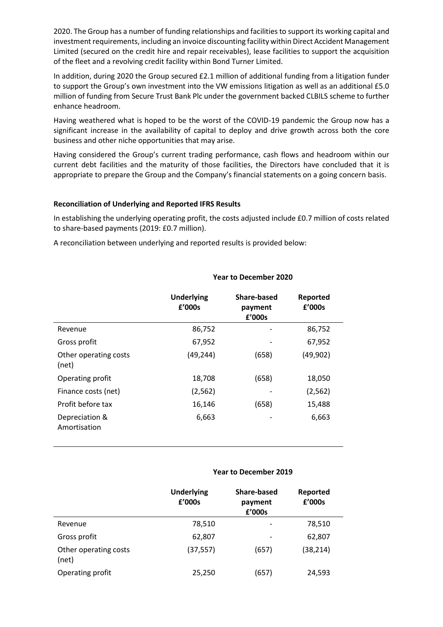2020. The Group has a number of funding relationships and facilities to support its working capital and investment requirements, including an invoice discounting facility within Direct Accident Management Limited (secured on the credit hire and repair receivables), lease facilities to support the acquisition of the fleet and a revolving credit facility within Bond Turner Limited.

In addition, during 2020 the Group secured £2.1 million of additional funding from a litigation funder to support the Group's own investment into the VW emissions litigation as well as an additional £5.0 million of funding from Secure Trust Bank Plc under the government backed CLBILS scheme to further enhance headroom.

Having weathered what is hoped to be the worst of the COVID-19 pandemic the Group now has a significant increase in the availability of capital to deploy and drive growth across both the core business and other niche opportunities that may arise.

Having considered the Group's current trading performance, cash flows and headroom within our current debt facilities and the maturity of those facilities, the Directors have concluded that it is appropriate to prepare the Group and the Company's financial statements on a going concern basis.

#### **Reconciliation of Underlying and Reported IFRS Results**

In establishing the underlying operating profit, the costs adjusted include £0.7 million of costs related to share-based payments (2019: £0.7 million).

A reconciliation between underlying and reported results is provided below:

|                                | <b>Underlying</b><br>£'000s | <b>Share-based</b><br>payment<br>£'000s | Reported<br>£'000s |
|--------------------------------|-----------------------------|-----------------------------------------|--------------------|
| Revenue                        | 86,752                      |                                         | 86,752             |
| Gross profit                   | 67,952                      |                                         | 67,952             |
| Other operating costs<br>(net) | (49, 244)                   | (658)                                   | (49, 902)          |
| Operating profit               | 18,708                      | (658)                                   | 18,050             |
| Finance costs (net)            | (2, 562)                    |                                         | (2, 562)           |
| Profit before tax              | 16,146                      | (658)                                   | 15,488             |
| Depreciation &<br>Amortisation | 6,663                       |                                         | 6,663              |

#### **Year to December 2020**

#### **Year to December 2019**

|                                | <b>Underlying</b><br>£'000s | Share-based<br>payment<br>£'000s | Reported<br>£'000s |
|--------------------------------|-----------------------------|----------------------------------|--------------------|
| Revenue                        | 78,510                      |                                  | 78,510             |
| Gross profit                   | 62,807                      |                                  | 62,807             |
| Other operating costs<br>(net) | (37, 557)                   | (657)                            | (38, 214)          |
| Operating profit               | 25,250                      | (657)                            | 24,593             |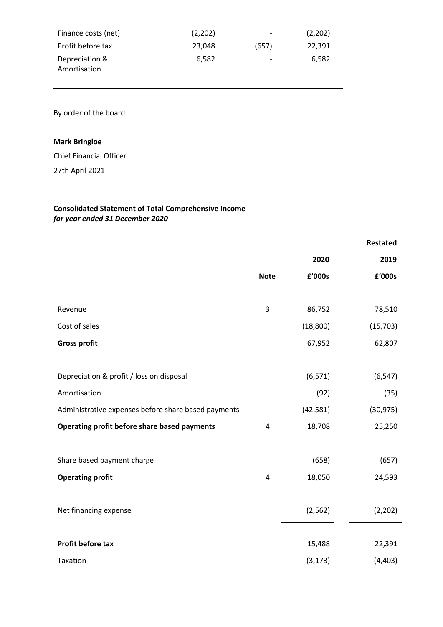| Finance costs (net)            | (2,202) | -     | (2,202) |
|--------------------------------|---------|-------|---------|
| Profit before tax              | 23.048  | (657) | 22.391  |
| Depreciation &<br>Amortisation | 6.582   | -     | 6.582   |

By order of the board

# **Mark Bringloe**

Chief Financial Officer

27th April 2021

# **Consolidated Statement of Total Comprehensive Income** *for year ended 31 December 2020*

|                                                     |             |           | <b>Restated</b> |
|-----------------------------------------------------|-------------|-----------|-----------------|
|                                                     |             | 2020      | 2019            |
|                                                     | <b>Note</b> | £'000s    | £'000s          |
|                                                     |             |           |                 |
| Revenue                                             | 3           | 86,752    | 78,510          |
| Cost of sales                                       |             | (18, 800) | (15, 703)       |
| <b>Gross profit</b>                                 |             | 67,952    | 62,807          |
|                                                     |             |           |                 |
| Depreciation & profit / loss on disposal            |             | (6, 571)  | (6, 547)        |
| Amortisation                                        |             | (92)      | (35)            |
| Administrative expenses before share based payments |             | (42, 581) | (30, 975)       |
| Operating profit before share based payments        | 4           | 18,708    | 25,250          |
|                                                     |             |           |                 |
| Share based payment charge                          |             | (658)     | (657)           |
| <b>Operating profit</b>                             | 4           | 18,050    | 24,593          |
|                                                     |             |           |                 |
| Net financing expense                               |             | (2, 562)  | (2, 202)        |
|                                                     |             |           |                 |
| Profit before tax                                   |             | 15,488    | 22,391          |
| Taxation                                            |             | (3, 173)  | (4, 403)        |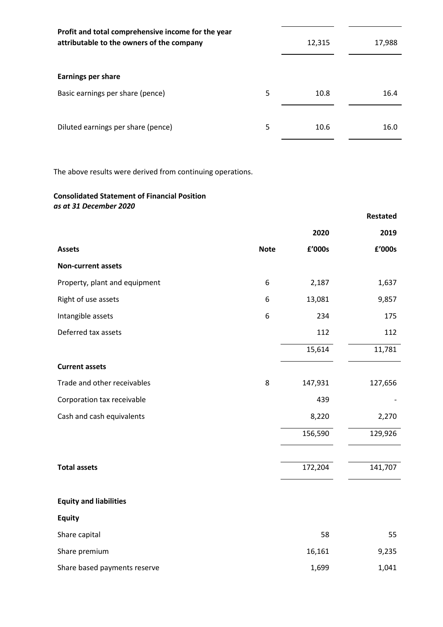| Profit and total comprehensive income for the year<br>attributable to the owners of the company | 12,315 | 17,988 |      |
|-------------------------------------------------------------------------------------------------|--------|--------|------|
| <b>Earnings per share</b>                                                                       |        |        |      |
| Basic earnings per share (pence)                                                                | 5      | 10.8   | 16.4 |
| Diluted earnings per share (pence)                                                              | 5      | 10.6   | 16.0 |

j.

The above results were derived from continuing operations.

# **Consolidated Statement of Financial Position** *as at 31 December 2020*

|                               |             |         | Restated |
|-------------------------------|-------------|---------|----------|
|                               |             | 2020    | 2019     |
| <b>Assets</b>                 | <b>Note</b> | £'000s  | £'000s   |
| <b>Non-current assets</b>     |             |         |          |
| Property, plant and equipment | 6           | 2,187   | 1,637    |
| Right of use assets           | 6           | 13,081  | 9,857    |
| Intangible assets             | 6           | 234     | 175      |
| Deferred tax assets           |             | 112     | 112      |
|                               |             | 15,614  | 11,781   |
| <b>Current assets</b>         |             |         |          |
| Trade and other receivables   | 8           | 147,931 | 127,656  |
| Corporation tax receivable    |             | 439     |          |
| Cash and cash equivalents     |             | 8,220   | 2,270    |
|                               |             | 156,590 | 129,926  |
|                               |             |         |          |
| <b>Total assets</b>           |             | 172,204 | 141,707  |
|                               |             |         |          |
| <b>Equity and liabilities</b> |             |         |          |
| <b>Equity</b>                 |             |         |          |
| Share capital                 |             | 58      | 55       |
| Share premium                 |             | 16,161  | 9,235    |
| Share based payments reserve  |             | 1,699   | 1,041    |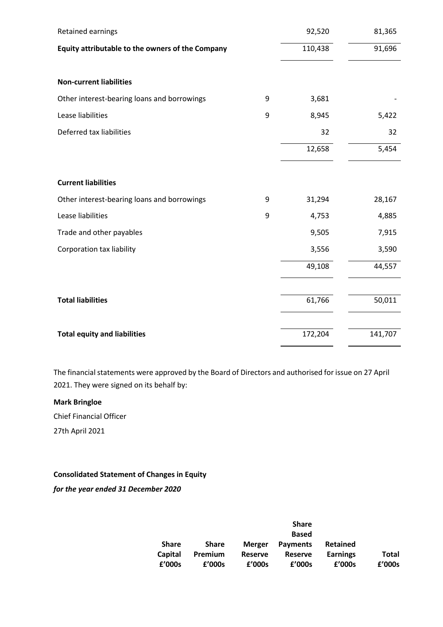| Retained earnings                                |   | 92,520  | 81,365  |
|--------------------------------------------------|---|---------|---------|
| Equity attributable to the owners of the Company |   | 110,438 | 91,696  |
|                                                  |   |         |         |
| <b>Non-current liabilities</b>                   |   |         |         |
| Other interest-bearing loans and borrowings      | 9 | 3,681   |         |
| Lease liabilities                                | 9 | 8,945   | 5,422   |
| Deferred tax liabilities                         |   | 32      | 32      |
|                                                  |   | 12,658  | 5,454   |
|                                                  |   |         |         |
| <b>Current liabilities</b>                       |   |         |         |
| Other interest-bearing loans and borrowings      | 9 | 31,294  | 28,167  |
| Lease liabilities                                | 9 | 4,753   | 4,885   |
| Trade and other payables                         |   | 9,505   | 7,915   |
| <b>Corporation tax liability</b>                 |   | 3,556   | 3,590   |
|                                                  |   | 49,108  | 44,557  |
|                                                  |   |         |         |
| <b>Total liabilities</b>                         |   | 61,766  | 50,011  |
|                                                  |   |         |         |
| <b>Total equity and liabilities</b>              |   | 172,204 | 141,707 |

The financial statements were approved by the Board of Directors and authorised for issue on 27 April 2021. They were signed on its behalf by:

# **Mark Bringloe**

Chief Financial Officer 27th April 2021

**Consolidated Statement of Changes in Equity**

*for the year ended 31 December 2020*

|                |                |                | <b>Share</b>    |                 |        |
|----------------|----------------|----------------|-----------------|-----------------|--------|
|                |                |                | <b>Based</b>    |                 |        |
| <b>Share</b>   | <b>Share</b>   | <b>Merger</b>  | <b>Payments</b> | <b>Retained</b> |        |
| <b>Capital</b> | <b>Premium</b> | <b>Reserve</b> | <b>Reserve</b>  | <b>Earnings</b> | Total  |
| f'000s         | f'000s         | f'000s         | £'000s          | £'000s          | £'000s |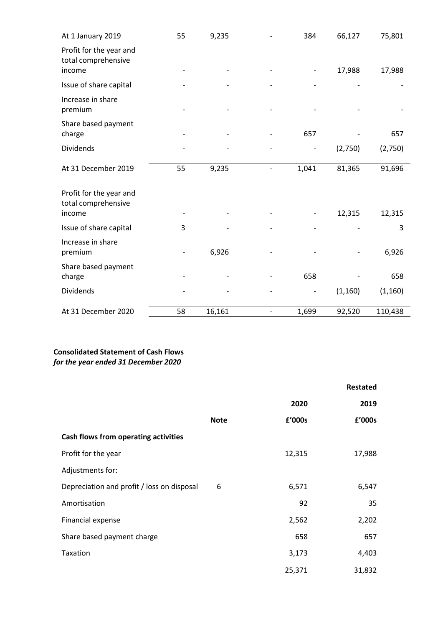| At 1 January 2019                              | 55 | 9,235  | 384   | 66,127   | 75,801   |
|------------------------------------------------|----|--------|-------|----------|----------|
| Profit for the year and<br>total comprehensive |    |        |       |          |          |
| income                                         |    |        |       | 17,988   | 17,988   |
| Issue of share capital                         |    |        |       |          |          |
| Increase in share<br>premium                   |    |        |       |          |          |
| Share based payment<br>charge                  |    |        | 657   |          | 657      |
| Dividends                                      |    |        |       | (2,750)  | (2,750)  |
| At 31 December 2019                            | 55 | 9,235  | 1,041 | 81,365   | 91,696   |
| Profit for the year and<br>total comprehensive |    |        |       | 12,315   |          |
| income                                         |    |        |       |          | 12,315   |
| Issue of share capital                         | 3  |        |       |          | 3        |
| Increase in share<br>premium                   |    | 6,926  |       |          | 6,926    |
| Share based payment<br>charge                  |    |        | 658   |          | 658      |
| Dividends                                      |    |        |       | (1, 160) | (1, 160) |
| At 31 December 2020                            | 58 | 16,161 | 1,699 | 92,520   | 110,438  |

# **Consolidated Statement of Cash Flows** *for the year ended 31 December 2020*

|                                            |             |        | <b>Restated</b> |
|--------------------------------------------|-------------|--------|-----------------|
|                                            |             | 2020   | 2019            |
|                                            | <b>Note</b> | f'000s | f'000s          |
| Cash flows from operating activities       |             |        |                 |
| Profit for the year                        |             | 12,315 | 17,988          |
| Adjustments for:                           |             |        |                 |
| Depreciation and profit / loss on disposal | 6           | 6,571  | 6,547           |
| Amortisation                               |             | 92     | 35              |
| Financial expense                          |             | 2,562  | 2,202           |
| Share based payment charge                 |             | 658    | 657             |
| Taxation                                   |             | 3,173  | 4,403           |
|                                            |             | 25,371 | 31,832          |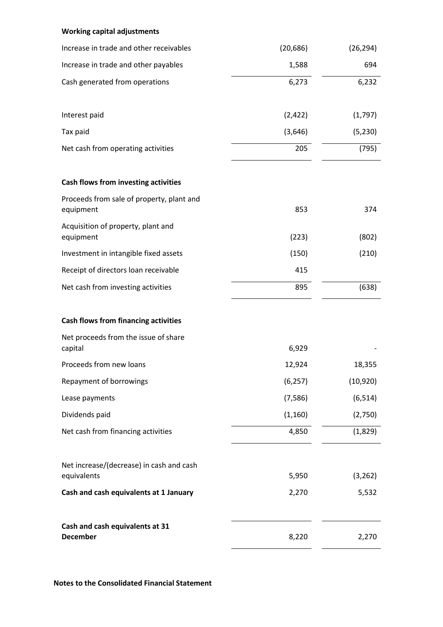# **Working capital adjustments**

| Increase in trade and other receivables                 | (20, 686) | (26, 294) |
|---------------------------------------------------------|-----------|-----------|
| Increase in trade and other payables                    | 1,588     | 694       |
| Cash generated from operations                          | 6,273     | 6,232     |
| Interest paid                                           | (2, 422)  | (1,797)   |
| Tax paid                                                | (3,646)   | (5, 230)  |
| Net cash from operating activities                      | 205       | (795)     |
| Cash flows from investing activities                    |           |           |
| Proceeds from sale of property, plant and<br>equipment  | 853       | 374       |
| Acquisition of property, plant and<br>equipment         | (223)     | (802)     |
| Investment in intangible fixed assets                   | (150)     | (210)     |
| Receipt of directors loan receivable                    | 415       |           |
| Net cash from investing activities                      | 895       | (638)     |
| <b>Cash flows from financing activities</b>             |           |           |
| Net proceeds from the issue of share<br>capital         | 6,929     |           |
| Proceeds from new loans                                 | 12,924    | 18,355    |
| Repayment of borrowings                                 | (6, 257)  | (10, 920) |
| Lease payments                                          | (7, 586)  | (6, 514)  |
| Dividends paid                                          | (1, 160)  | (2,750)   |
| Net cash from financing activities                      | 4,850     | (1,829)   |
| Net increase/(decrease) in cash and cash<br>equivalents | 5,950     | (3, 262)  |
| Cash and cash equivalents at 1 January                  | 2,270     | 5,532     |
| Cash and cash equivalents at 31<br><b>December</b>      | 8,220     | 2,270     |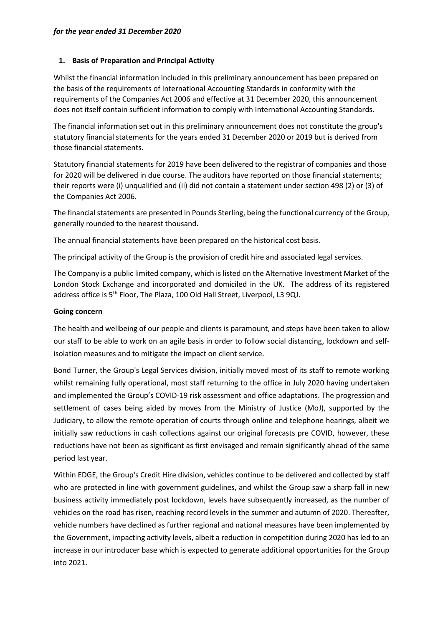# **1. Basis of Preparation and Principal Activity**

Whilst the financial information included in this preliminary announcement has been prepared on the basis of the requirements of International Accounting Standards in conformity with the requirements of the Companies Act 2006 and effective at 31 December 2020, this announcement does not itself contain sufficient information to comply with International Accounting Standards.

The financial information set out in this preliminary announcement does not constitute the group's statutory financial statements for the years ended 31 December 2020 or 2019 but is derived from those financial statements.

Statutory financial statements for 2019 have been delivered to the registrar of companies and those for 2020 will be delivered in due course. The auditors have reported on those financial statements; their reports were (i) unqualified and (ii) did not contain a statement under section 498 (2) or (3) of the Companies Act 2006.

The financial statements are presented in Pounds Sterling, being the functional currency of the Group, generally rounded to the nearest thousand.

The annual financial statements have been prepared on the historical cost basis.

The principal activity of the Group is the provision of credit hire and associated legal services.

The Company is a public limited company, which is listed on the Alternative Investment Market of the London Stock Exchange and incorporated and domiciled in the UK. The address of its registered address office is 5<sup>th</sup> Floor, The Plaza, 100 Old Hall Street, Liverpool, L3 9QJ.

#### **Going concern**

The health and wellbeing of our people and clients is paramount, and steps have been taken to allow our staff to be able to work on an agile basis in order to follow social distancing, lockdown and selfisolation measures and to mitigate the impact on client service.

Bond Turner, the Group's Legal Services division, initially moved most of its staff to remote working whilst remaining fully operational, most staff returning to the office in July 2020 having undertaken and implemented the Group's COVID-19 risk assessment and office adaptations. The progression and settlement of cases being aided by moves from the Ministry of Justice (MoJ), supported by the Judiciary, to allow the remote operation of courts through online and telephone hearings, albeit we initially saw reductions in cash collections against our original forecasts pre COVID, however, these reductions have not been as significant as first envisaged and remain significantly ahead of the same period last year.

Within EDGE, the Group's Credit Hire division, vehicles continue to be delivered and collected by staff who are protected in line with government guidelines, and whilst the Group saw a sharp fall in new business activity immediately post lockdown, levels have subsequently increased, as the number of vehicles on the road has risen, reaching record levels in the summer and autumn of 2020. Thereafter, vehicle numbers have declined as further regional and national measures have been implemented by the Government, impacting activity levels, albeit a reduction in competition during 2020 has led to an increase in our introducer base which is expected to generate additional opportunities for the Group into 2021.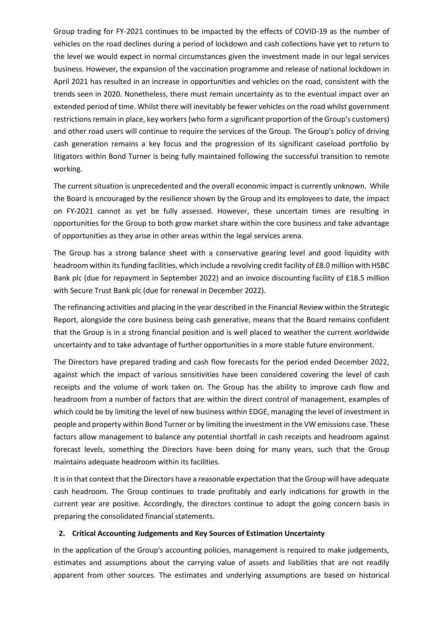Group trading for FY-2021 continues to be impacted by the effects of COVID-19 as the number of vehicles on the road declines during a period of lockdown and cash collections have yet to return to the level we would expect in normal circumstances given the investment made in our legal services business. However, the expansion of the vaccination programme and release of national lockdown in April 2021 has resulted in an increase in opportunities and vehicles on the road, consistent with the trends seen in 2020. Nonetheless, there must remain uncertainty as to the eventual impact over an extended period of time. Whilst there will inevitably be fewer vehicles on the road whilst government restrictions remain in place, key workers (who form a significant proportion of the Group's customers) and other road users will continue to require the services of the Group. The Group's policy of driving cash generation remains a key focus and the progression of its significant caseload portfolio by litigators within Bond Turner is being fully maintained following the successful transition to remote working.

The current situation is unprecedented and the overall economic impact is currently unknown. While the Board is encouraged by the resilience shown by the Group and its employees to date, the impact on FY-2021 cannot as yet be fully assessed. However, these uncertain times are resulting in opportunities for the Group to both grow market share within the core business and take advantage of opportunities as they arise in other areas within the legal services arena.

The Group has a strong balance sheet with a conservative gearing level and good liquidity with headroom within its funding facilities, which include a revolving credit facility of £8.0 million with HSBC Bank plc (due for repayment in September 2022) and an invoice discounting facility of £18.5 million with Secure Trust Bank plc (due for renewal in December 2022).

The refinancing activities and placing in the year described in the Financial Review within the Strategic Report, alongside the core business being cash generative, means that the Board remains confident that the Group is in a strong financial position and is well placed to weather the current worldwide uncertainty and to take advantage of further opportunities in a more stable future environment.

The Directors have prepared trading and cash flow forecasts for the period ended December 2022, against which the impact of various sensitivities have been considered covering the level of cash receipts and the volume of work taken on. The Group has the ability to improve cash flow and headroom from a number of factors that are within the direct control of management, examples of which could be by limiting the level of new business within EDGE, managing the level of investment in people and property within Bond Turner or by limiting the investment in the VW emissions case. These factors allow management to balance any potential shortfall in cash receipts and headroom against forecast levels, something the Directors have been doing for many years, such that the Group maintains adequate headroom within its facilities.

It is in that context that the Directors have a reasonable expectation that the Group will have adequate cash headroom. The Group continues to trade profitably and early indications for growth in the current year are positive. Accordingly, the directors continue to adopt the going concern basis in preparing the consolidated financial statements.

# **2. Critical Accounting Judgements and Key Sources of Estimation Uncertainty**

In the application of the Group's accounting policies, management is required to make judgements, estimates and assumptions about the carrying value of assets and liabilities that are not readily apparent from other sources. The estimates and underlying assumptions are based on historical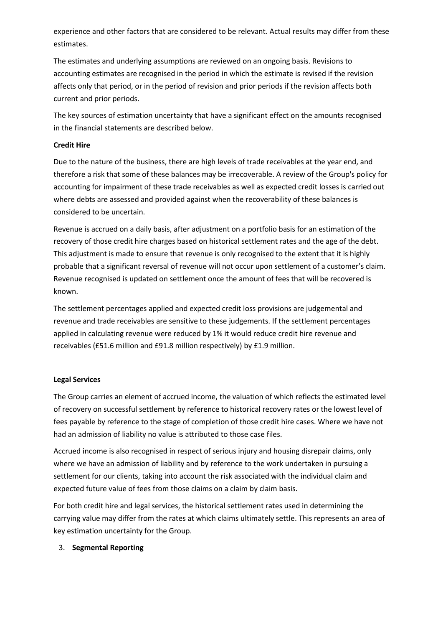experience and other factors that are considered to be relevant. Actual results may differ from these estimates.

The estimates and underlying assumptions are reviewed on an ongoing basis. Revisions to accounting estimates are recognised in the period in which the estimate is revised if the revision affects only that period, or in the period of revision and prior periods if the revision affects both current and prior periods.

The key sources of estimation uncertainty that have a significant effect on the amounts recognised in the financial statements are described below.

# **Credit Hire**

Due to the nature of the business, there are high levels of trade receivables at the year end, and therefore a risk that some of these balances may be irrecoverable. A review of the Group's policy for accounting for impairment of these trade receivables as well as expected credit losses is carried out where debts are assessed and provided against when the recoverability of these balances is considered to be uncertain.

Revenue is accrued on a daily basis, after adjustment on a portfolio basis for an estimation of the recovery of those credit hire charges based on historical settlement rates and the age of the debt. This adjustment is made to ensure that revenue is only recognised to the extent that it is highly probable that a significant reversal of revenue will not occur upon settlement of a customer's claim. Revenue recognised is updated on settlement once the amount of fees that will be recovered is known.

The settlement percentages applied and expected credit loss provisions are judgemental and revenue and trade receivables are sensitive to these judgements. If the settlement percentages applied in calculating revenue were reduced by 1% it would reduce credit hire revenue and receivables (£51.6 million and £91.8 million respectively) by £1.9 million.

#### **Legal Services**

The Group carries an element of accrued income, the valuation of which reflects the estimated level of recovery on successful settlement by reference to historical recovery rates or the lowest level of fees payable by reference to the stage of completion of those credit hire cases. Where we have not had an admission of liability no value is attributed to those case files.

Accrued income is also recognised in respect of serious injury and housing disrepair claims, only where we have an admission of liability and by reference to the work undertaken in pursuing a settlement for our clients, taking into account the risk associated with the individual claim and expected future value of fees from those claims on a claim by claim basis.

For both credit hire and legal services, the historical settlement rates used in determining the carrying value may differ from the rates at which claims ultimately settle. This represents an area of key estimation uncertainty for the Group.

# 3. **Segmental Reporting**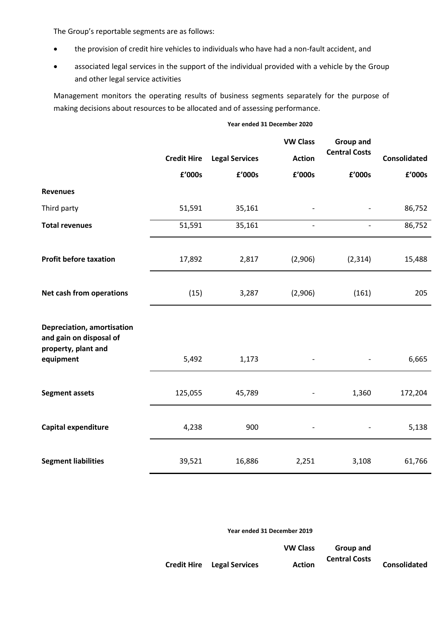The Group's reportable segments are as follows:

- the provision of credit hire vehicles to individuals who have had a non-fault accident, and
- associated legal services in the support of the individual provided with a vehicle by the Group and other legal service activities

Management monitors the operating results of business segments separately for the purpose of making decisions about resources to be allocated and of assessing performance.

#### **Year ended 31 December 2020**

|                                                                                           |                    |                       | <b>VW Class</b> | <b>Group and</b>     |              |
|-------------------------------------------------------------------------------------------|--------------------|-----------------------|-----------------|----------------------|--------------|
|                                                                                           | <b>Credit Hire</b> | <b>Legal Services</b> | <b>Action</b>   | <b>Central Costs</b> | Consolidated |
|                                                                                           | £'000s             | £'000s                | £'000s          | £'000s               | £'000s       |
| <b>Revenues</b>                                                                           |                    |                       |                 |                      |              |
| Third party                                                                               | 51,591             | 35,161                |                 |                      | 86,752       |
| <b>Total revenues</b>                                                                     | 51,591             | 35,161                | $\overline{a}$  |                      | 86,752       |
| <b>Profit before taxation</b>                                                             | 17,892             | 2,817                 | (2,906)         | (2, 314)             | 15,488       |
| Net cash from operations                                                                  | (15)               | 3,287                 | (2,906)         | (161)                | 205          |
| Depreciation, amortisation<br>and gain on disposal of<br>property, plant and<br>equipment | 5,492              | 1,173                 |                 |                      | 6,665        |
| <b>Segment assets</b>                                                                     | 125,055            | 45,789                |                 | 1,360                | 172,204      |
| Capital expenditure                                                                       | 4,238              | 900                   |                 |                      | 5,138        |
| <b>Segment liabilities</b>                                                                | 39,521             | 16,886                | 2,251           | 3,108                | 61,766       |

**Year ended 31 December 2019**

|                                   | <b>VW Class</b> | Group and            |              |
|-----------------------------------|-----------------|----------------------|--------------|
|                                   |                 | <b>Central Costs</b> |              |
| <b>Credit Hire</b> Legal Services | <b>Action</b>   |                      | Consolidated |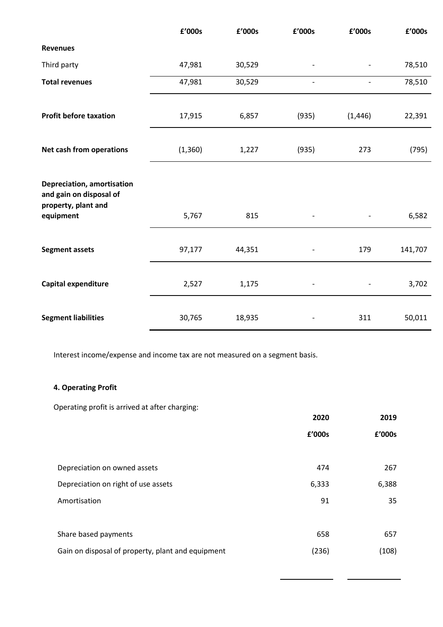|                                                                                                  | £'000s   | £'000s | £'000s            | £'000s   | £'000s  |
|--------------------------------------------------------------------------------------------------|----------|--------|-------------------|----------|---------|
| <b>Revenues</b>                                                                                  |          |        |                   |          |         |
| Third party                                                                                      | 47,981   | 30,529 |                   |          | 78,510  |
| <b>Total revenues</b>                                                                            | 47,981   | 30,529 | $\qquad \qquad -$ |          | 78,510  |
| <b>Profit before taxation</b>                                                                    | 17,915   | 6,857  | (935)             | (1, 446) | 22,391  |
| Net cash from operations                                                                         | (1, 360) | 1,227  | (935)             | 273      | (795)   |
| <b>Depreciation, amortisation</b><br>and gain on disposal of<br>property, plant and<br>equipment | 5,767    | 815    |                   |          | 6,582   |
| <b>Segment assets</b>                                                                            | 97,177   | 44,351 |                   | 179      | 141,707 |
| Capital expenditure                                                                              | 2,527    | 1,175  |                   |          | 3,702   |
| <b>Segment liabilities</b>                                                                       | 30,765   | 18,935 |                   | 311      | 50,011  |

Interest income/expense and income tax are not measured on a segment basis.

# **4. Operating Profit**

Operating profit is arrived at after charging:

|                                                   | 2020   | 2019   |
|---------------------------------------------------|--------|--------|
|                                                   | £'000s | £'000s |
|                                                   |        |        |
| Depreciation on owned assets                      | 474    | 267    |
| Depreciation on right of use assets               | 6,333  | 6,388  |
| Amortisation                                      | 91     | 35     |
|                                                   |        |        |
| Share based payments                              | 658    | 657    |
| Gain on disposal of property, plant and equipment | (236)  | (108)  |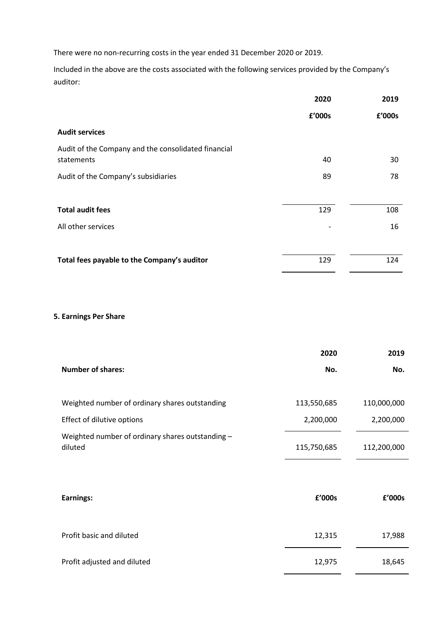There were no non-recurring costs in the year ended 31 December 2020 or 2019.

Included in the above are the costs associated with the following services provided by the Company's auditor:

|                                                     | 2020   | 2019   |
|-----------------------------------------------------|--------|--------|
|                                                     | £'000s | £'000s |
| <b>Audit services</b>                               |        |        |
| Audit of the Company and the consolidated financial |        |        |
| statements                                          | 40     | 30     |
| Audit of the Company's subsidiaries                 | 89     | 78     |
|                                                     |        |        |
| <b>Total audit fees</b>                             | 129    | 108    |
| All other services                                  |        | 16     |
|                                                     |        |        |
| Total fees payable to the Company's auditor         | 129    | 124    |

# **5. Earnings Per Share**

|                                                             | 2020        | 2019        |
|-------------------------------------------------------------|-------------|-------------|
| <b>Number of shares:</b>                                    | No.         | No.         |
|                                                             |             |             |
| Weighted number of ordinary shares outstanding              | 113,550,685 | 110,000,000 |
| Effect of dilutive options                                  | 2,200,000   | 2,200,000   |
| Weighted number of ordinary shares outstanding -<br>diluted | 115,750,685 | 112,200,000 |
|                                                             |             |             |
| Earnings:                                                   | £'000s      | £'000s      |
| Profit basic and diluted                                    | 12,315      | 17,988      |
| Profit adjusted and diluted                                 | 12,975      | 18,645      |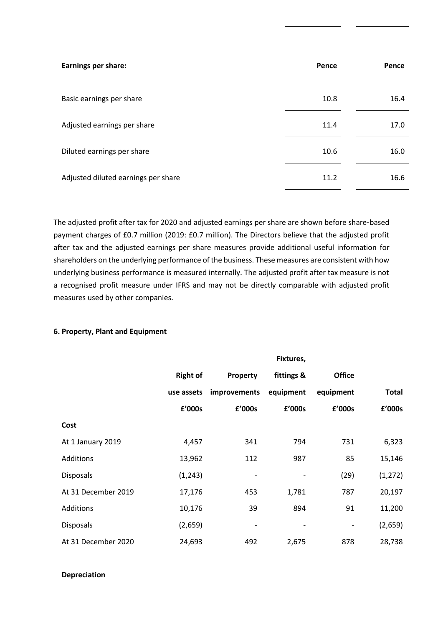| <b>Earnings per share:</b>          | Pence | Pence |
|-------------------------------------|-------|-------|
| Basic earnings per share            | 10.8  | 16.4  |
| Adjusted earnings per share         | 11.4  | 17.0  |
| Diluted earnings per share          | 10.6  | 16.0  |
| Adjusted diluted earnings per share | 11.2  | 16.6  |

The adjusted profit after tax for 2020 and adjusted earnings per share are shown before share‑based payment charges of £0.7 million (2019: £0.7 million). The Directors believe that the adjusted profit after tax and the adjusted earnings per share measures provide additional useful information for shareholders on the underlying performance of the business. These measures are consistent with how underlying business performance is measured internally. The adjusted profit after tax measure is not a recognised profit measure under IFRS and may not be directly comparable with adjusted profit measures used by other companies.

#### **6. Property, Plant and Equipment**

|                     |                 |                              | Fixtures,                    |                              |              |
|---------------------|-----------------|------------------------------|------------------------------|------------------------------|--------------|
|                     | <b>Right of</b> | Property                     | fittings &                   | <b>Office</b>                |              |
|                     | use assets      | improvements                 | equipment                    | equipment                    | <b>Total</b> |
|                     | £'000s          | £'000s                       | £'000s                       | £'000s                       | £'000s       |
| Cost                |                 |                              |                              |                              |              |
| At 1 January 2019   | 4,457           | 341                          | 794                          | 731                          | 6,323        |
| Additions           | 13,962          | 112                          | 987                          | 85                           | 15,146       |
| <b>Disposals</b>    | (1, 243)        | $\qquad \qquad \blacksquare$ |                              | (29)                         | (1, 272)     |
| At 31 December 2019 | 17,176          | 453                          | 1,781                        | 787                          | 20,197       |
| Additions           | 10,176          | 39                           | 894                          | 91                           | 11,200       |
| <b>Disposals</b>    | (2,659)         | $\qquad \qquad \blacksquare$ | $\qquad \qquad \blacksquare$ | $\qquad \qquad \blacksquare$ | (2,659)      |
| At 31 December 2020 | 24,693          | 492                          | 2,675                        | 878                          | 28,738       |

# **Depreciation**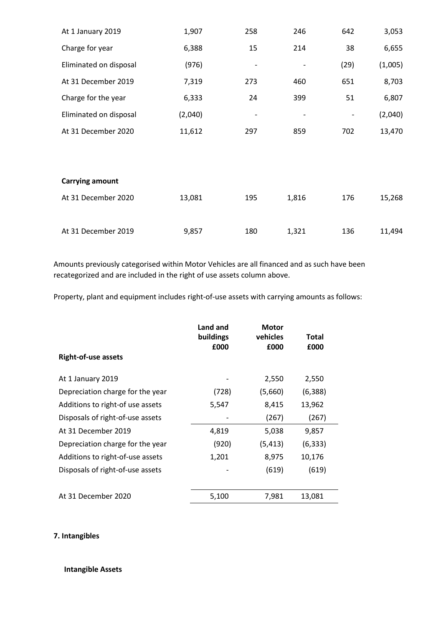| At 1 January 2019      | 1,907   | 258 | 246   | 642  | 3,053   |
|------------------------|---------|-----|-------|------|---------|
| Charge for year        | 6,388   | 15  | 214   | 38   | 6,655   |
| Eliminated on disposal | (976)   |     |       | (29) | (1,005) |
| At 31 December 2019    | 7,319   | 273 | 460   | 651  | 8,703   |
| Charge for the year    | 6,333   | 24  | 399   | 51   | 6,807   |
| Eliminated on disposal | (2,040) |     |       |      | (2,040) |
| At 31 December 2020    | 11,612  | 297 | 859   | 702  | 13,470  |
|                        |         |     |       |      |         |
| <b>Carrying amount</b> |         |     |       |      |         |
| At 31 December 2020    | 13,081  | 195 | 1,816 | 176  | 15,268  |
| At 31 December 2019    | 9,857   | 180 | 1,321 | 136  | 11,494  |

Amounts previously categorised within Motor Vehicles are all financed and as such have been recategorized and are included in the right of use assets column above.

Property, plant and equipment includes right-of-use assets with carrying amounts as follows:

| <b>Right-of-use assets</b>       | Land and<br>buildings<br>£000 | <b>Motor</b><br>vehicles<br>£000 | <b>Total</b><br>£000 |
|----------------------------------|-------------------------------|----------------------------------|----------------------|
| At 1 January 2019                |                               | 2,550                            | 2,550                |
| Depreciation charge for the year | (728)                         | (5,660)                          | (6, 388)             |
| Additions to right-of use assets | 5,547                         | 8,415                            | 13,962               |
| Disposals of right-of-use assets |                               | (267)                            | (267)                |
| At 31 December 2019              | 4,819                         | 5,038                            | 9,857                |
| Depreciation charge for the year | (920)                         | (5, 413)                         | (6, 333)             |
| Additions to right-of-use assets | 1,201                         | 8,975                            | 10,176               |
| Disposals of right-of-use assets |                               | (619)                            | (619)                |
| At 31 December 2020              | 5,100                         | 7,981                            | 13,081               |

# **7. Intangibles**

# **Intangible Assets**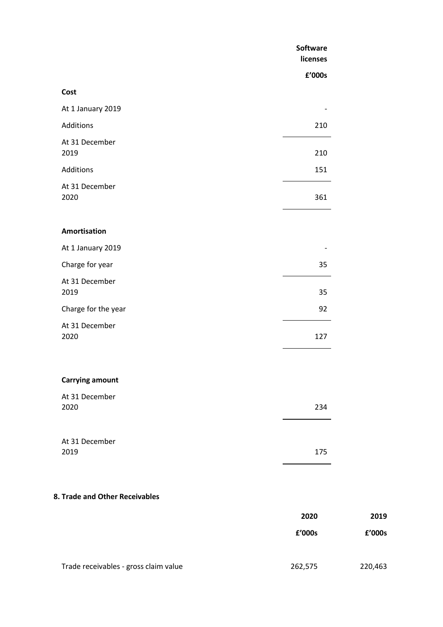|                                | Software<br>licenses |        |
|--------------------------------|----------------------|--------|
|                                | £'000s               |        |
| Cost                           |                      |        |
| At 1 January 2019              |                      |        |
| Additions                      | 210                  |        |
| At 31 December<br>2019         | 210                  |        |
| Additions                      | 151                  |        |
| At 31 December<br>2020         | 361                  |        |
| Amortisation                   |                      |        |
| At 1 January 2019              |                      |        |
| Charge for year                | 35                   |        |
| At 31 December<br>2019         | 35                   |        |
| Charge for the year            | 92                   |        |
| At 31 December<br>2020         | 127                  |        |
| <b>Carrying amount</b>         |                      |        |
| At 31 December<br>2020         | 234                  |        |
| At 31 December<br>2019         | 175                  |        |
| 8. Trade and Other Receivables |                      |        |
|                                | 2020                 | 2019   |
|                                | £'000s               | £'000s |
|                                |                      |        |

Trade receivables - gross claim value 262,575 220,463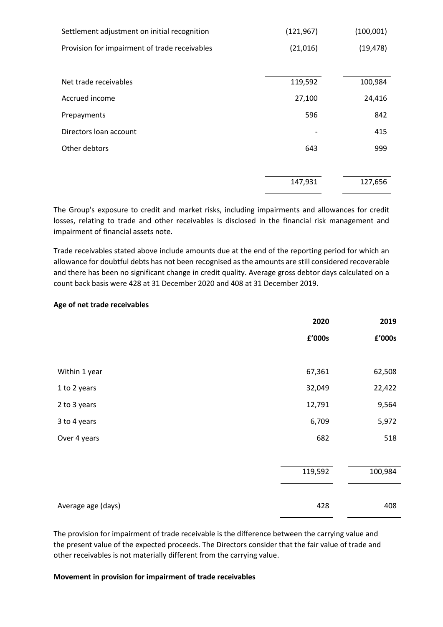| Settlement adjustment on initial recognition  | (121, 967) | (100,001) |
|-----------------------------------------------|------------|-----------|
| Provision for impairment of trade receivables | (21,016)   | (19, 478) |
|                                               |            |           |
| Net trade receivables                         | 119,592    | 100,984   |
| Accrued income                                | 27,100     | 24,416    |
| Prepayments                                   | 596        | 842       |
| Directors loan account                        |            | 415       |
| Other debtors                                 | 643        | 999       |
|                                               |            |           |
|                                               | 147,931    | 127,656   |

The Group's exposure to credit and market risks, including impairments and allowances for credit losses, relating to trade and other receivables is disclosed in the financial risk management and impairment of financial assets note.

Trade receivables stated above include amounts due at the end of the reporting period for which an allowance for doubtful debts has not been recognised as the amounts are still considered recoverable and there has been no significant change in credit quality. Average gross debtor days calculated on a count back basis were 428 at 31 December 2020 and 408 at 31 December 2019.

#### **Age of net trade receivables**

|                    | 2020    | 2019    |
|--------------------|---------|---------|
|                    | £'000s  | £'000s  |
|                    |         |         |
| Within 1 year      | 67,361  | 62,508  |
| 1 to 2 years       | 32,049  | 22,422  |
| 2 to 3 years       | 12,791  | 9,564   |
| 3 to 4 years       | 6,709   | 5,972   |
| Over 4 years       | 682     | 518     |
|                    |         |         |
|                    | 119,592 | 100,984 |
|                    |         |         |
| Average age (days) | 428     | 408     |

The provision for impairment of trade receivable is the difference between the carrying value and the present value of the expected proceeds. The Directors consider that the fair value of trade and other receivables is not materially different from the carrying value.

#### **Movement in provision for impairment of trade receivables**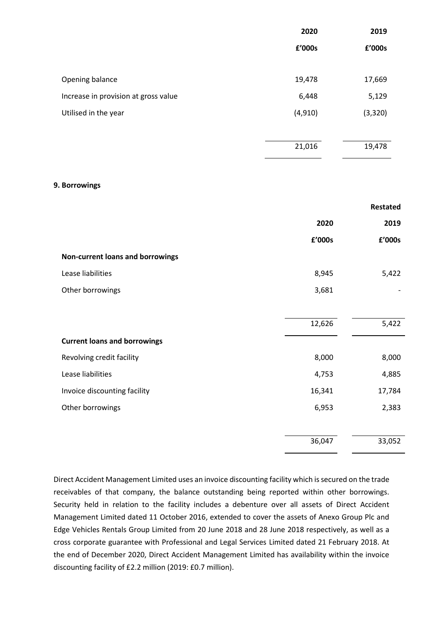|                                      | 2020     | 2019    |
|--------------------------------------|----------|---------|
|                                      | £'000s   | £'000s  |
|                                      |          |         |
| Opening balance                      | 19,478   | 17,669  |
| Increase in provision at gross value | 6,448    | 5,129   |
| Utilised in the year                 | (4, 910) | (3,320) |
|                                      |          |         |
|                                      | 21,016   | 19,478  |
|                                      |          |         |

#### **9. Borrowings**

|                                     |        | <b>Restated</b> |
|-------------------------------------|--------|-----------------|
|                                     | 2020   | 2019            |
|                                     | £'000s | £'000s          |
| Non-current loans and borrowings    |        |                 |
| Lease liabilities                   | 8,945  | 5,422           |
| Other borrowings                    | 3,681  |                 |
|                                     |        |                 |
|                                     | 12,626 | 5,422           |
| <b>Current loans and borrowings</b> |        |                 |
| Revolving credit facility           | 8,000  | 8,000           |
| Lease liabilities                   | 4,753  | 4,885           |
| Invoice discounting facility        | 16,341 | 17,784          |
| Other borrowings                    | 6,953  | 2,383           |
|                                     |        |                 |
|                                     | 36,047 | 33,052          |

Direct Accident Management Limited uses an invoice discounting facility which is secured on the trade receivables of that company, the balance outstanding being reported within other borrowings. Security held in relation to the facility includes a debenture over all assets of Direct Accident Management Limited dated 11 October 2016, extended to cover the assets of Anexo Group Plc and Edge Vehicles Rentals Group Limited from 20 June 2018 and 28 June 2018 respectively, as well as a cross corporate guarantee with Professional and Legal Services Limited dated 21 February 2018. At the end of December 2020, Direct Accident Management Limited has availability within the invoice discounting facility of £2.2 million (2019: £0.7 million).